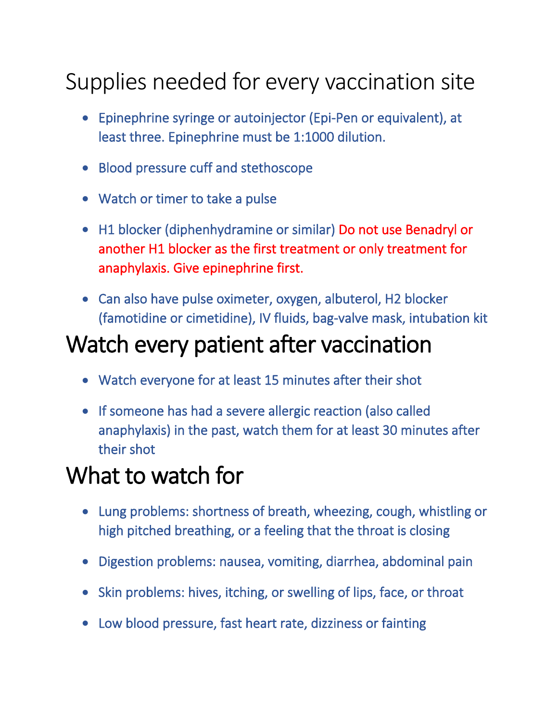## Supplies needed for every vaccination site

- Epinephrine syringe or autoinjector (Epi-Pen or equivalent), at least three. Epinephrine must be 1:1000 dilution.
- Blood pressure cuff and stethoscope
- Watch or timer to take a pulse
- H1 blocker (diphenhydramine or similar) Do not use Benadryl or another H1 blocker as the first treatment or only treatment for anaphylaxis. Give epinephrine first.
- Can also have pulse oximeter, oxygen, albuterol, H2 blocker (famotidine or cimetidine), IV fluids, bag-valve mask, intubation kit

## Watch every patient after vaccination

- Watch everyone for at least 15 minutes after their shot
- If someone has had a severe allergic reaction (also called anaphylaxis) in the past, watch them for at least 30 minutes after their shot

## What to watch for

- Lung problems: shortness of breath, wheezing, cough, whistling or high pitched breathing, or a feeling that the throat is closing
- Digestion problems: nausea, vomiting, diarrhea, abdominal pain
- Skin problems: hives, itching, or swelling of lips, face, or throat
- Low blood pressure, fast heart rate, dizziness or fainting